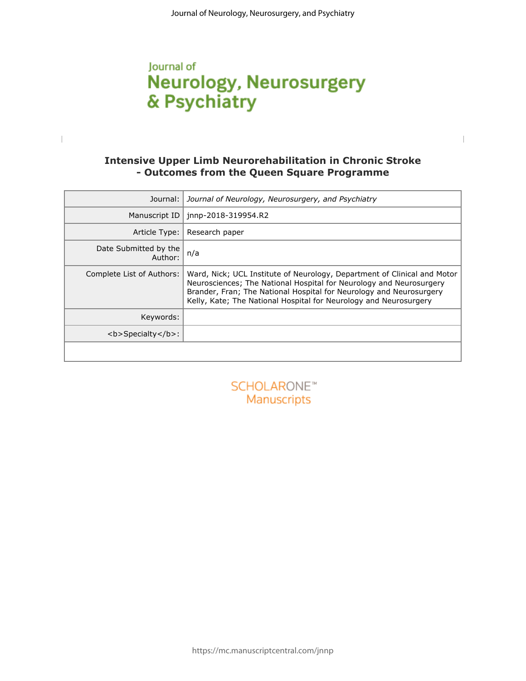## Journal of **Neurology, Neurosurgery** & Psychiatry

 $\begin{array}{c} \hline \end{array}$ 

## **- Outcomes from the Queen Square Programme**

|                                  | <b>Intensive Upper Limb Neurorehabilitation in Chronic Stroke</b><br>- Outcomes from the Queen Square Programme                                                                                                                                                                             |
|----------------------------------|---------------------------------------------------------------------------------------------------------------------------------------------------------------------------------------------------------------------------------------------------------------------------------------------|
| Journal:                         | Journal of Neurology, Neurosurgery, and Psychiatry                                                                                                                                                                                                                                          |
| Manuscript ID                    | jnnp-2018-319954.R2                                                                                                                                                                                                                                                                         |
| Article Type:                    | Research paper                                                                                                                                                                                                                                                                              |
| Date Submitted by the<br>Author: | n/a                                                                                                                                                                                                                                                                                         |
| Complete List of Authors:        | Ward, Nick; UCL Institute of Neurology, Department of Clinical and Motor<br>Neurosciences; The National Hospital for Neurology and Neurosurgery<br>Brander, Fran; The National Hospital for Neurology and Neurosurgery<br>Kelly, Kate; The National Hospital for Neurology and Neurosurgery |
| Keywords:                        |                                                                                                                                                                                                                                                                                             |
| <b>Specialty</b> :               |                                                                                                                                                                                                                                                                                             |
|                                  |                                                                                                                                                                                                                                                                                             |
|                                  | SCHOLARONE <sup>®</sup><br>Manuscripts                                                                                                                                                                                                                                                      |
|                                  |                                                                                                                                                                                                                                                                                             |
|                                  |                                                                                                                                                                                                                                                                                             |
|                                  |                                                                                                                                                                                                                                                                                             |
|                                  |                                                                                                                                                                                                                                                                                             |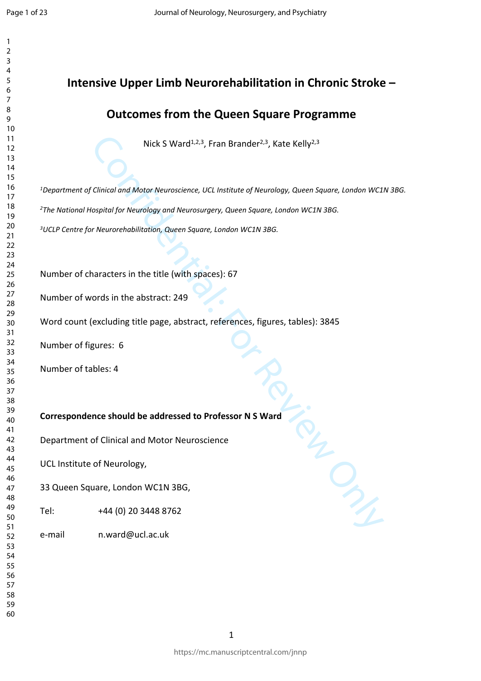# **Intensive Upper Limb Neurorehabilitation in Chronic Stroke –**

### **Outcomes from the Queen Square Programme**

Nick S Ward<sup>1,2,3</sup>, Fran Brander<sup>2,3</sup>, Kate Kelly<sup>2,3</sup>

Nick S Ward<sup>1,2,3</sup>, Fran Brander<sup>2,3</sup>, Kate Kelly<sup>2,3</sup><br>
Clinical and Motor Neuroscience, UCL Institute of Neurology, Queen Square, London WC1<br>
Clinical and Motor Neurology and Neurosurgery, Queen Square, London WC1N 3BG.<br> *Department of Clinical and Motor Neuroscience, UCL Institute of Neurology, Queen Square, London WC1N 3BG.*

*The National Hospital for Neurology and Neurosurgery, Queen Square, London WC1N 3BG.*

*UCLP Centre for Neurorehabilitation, Queen Square, London WC1N 3BG.*

Number of characters in the title (with spaces): 67

Number of words in the abstract: 249

Word count (excluding title page, abstract, references, figures, tables): 3845

Number of figures: 6

Number of tables: 4

**Correspondence should be addressed to Professor N S Ward**

Department of Clinical and Motor Neuroscience

UCL Institute of Neurology,

33 Queen Square, London WC1N 3BG,

Tel: +44 (0) 20 3448 8762

e-mail n.ward@ucl.ac.uk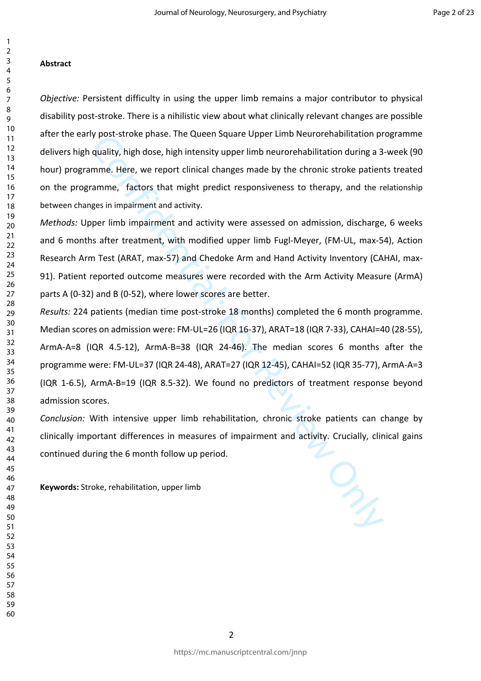#### **Abstract**

*Objective:* Persistent difficulty in using the upper limb remains a major contributor to physical disability post-stroke. There is a nihilistic view about what clinically relevant changes are possible after the early post-stroke phase. The Queen Square Upper Limb Neurorehabilitation programme delivers high quality, high dose, high intensity upper limb neurorehabilitation during a 3-week (90 hour) programme. Here, we report clinical changes made by the chronic stroke patients treated on the programme, factors that might predict responsiveness to therapy, and the relationship between changes in impairment and activity.

*Methods:* Upper limb impairment and activity were assessed on admission, discharge, 6 weeks and 6 months after treatment, with modified upper limb Fugl-Meyer, (FM-UL, max-54), Action Research Arm Test (ARAT, max-57) and Chedoke Arm and Hand Activity Inventory (CAHAI, max-91). Patient reported outcome measures were recorded with the Arm Activity Measure (ArmA) parts A (0-32) and B (0-52), where lower scores are better.

y post-stroke pnase. The Queen square Opper Limb Neutrorenabilitation provides and multity, high dose, high intensity upper limb neutrorehabilitation during a 3 mme. Here, we report clinical changes made by the chronic st *Results:* 224 patients (median time post-stroke 18 months) completed the 6 month programme. Median scores on admission were: FM-UL=26 (IQR 16-37), ARAT=18 (IQR 7-33), CAHAI=40 (28-55), ArmA-A=8 (IQR 4.5-12), ArmA-B=38 (IQR 24-46). The median scores 6 months after the programme were: FM-UL=37 (IQR 24-48), ARAT=27 (IQR 12-45), CAHAI=52 (IQR 35-77), ArmA-A=3 (IQR 1-6.5), ArmA-B=19 (IQR 8.5-32). We found no predictors of treatment response beyond admission scores.

*Conclusion:* With intensive upper limb rehabilitation, chronic stroke patients can change by clinically important differences in measures of impairment and activity. Crucially, clinical gains continued during the 6 month follow up period.

**Keywords:** Stroke, rehabilitation, upper limb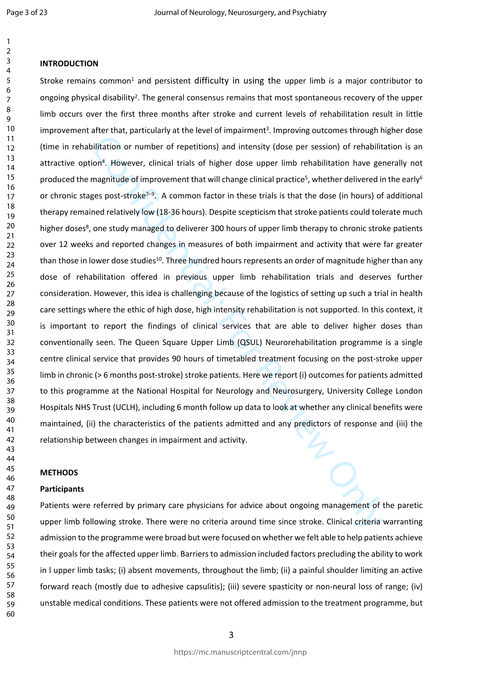#### **INTRODUCTION**

Dilitation or unmber of repetitions) and intensity (dose per session) of rehabilitation or number of repetitions) and intensity (dose per session) of rehabilitation have genusaritude of improvement that will change clinica Stroke remains common<sup>1</sup> and persistent difficulty in using the upper limb is a major contributor to ongoing physical disability<sup>2</sup>. The general consensus remains that most spontaneous recovery of the upper limb occurs over the first three months after stroke and current levels of rehabilitation result in little improvement after that, particularly at the level of impairment<sup>3</sup>. Improving outcomes through higher dose (time in rehabilitation or number of repetitions) and intensity (dose per session) of rehabilitation is an attractive option<sup>4</sup>. However, clinical trials of higher dose upper limb rehabilitation have generally not produced the magnitude of improvement that will change clinical practice<sup>5</sup>, whether delivered in the early<sup>6</sup> or chronic stages post-stroke<sup>7–9</sup>. A common factor in these trials is that the dose (in hours) of additional therapy remained relatively low (18-36 hours). Despite scepticism that stroke patients could tolerate much higher doses<sup>8</sup>, one study managed to deliverer 300 hours of upper limb therapy to chronic stroke patients over 12 weeks and reported changes in measures of both impairment and activity that were far greater than those in lower dose studies<sup>10</sup>. Three hundred hours represents an order of magnitude higher than any dose of rehabilitation offered in previous upper limb rehabilitation trials and deserves further consideration. However, this idea is challenging because of the logistics of setting up such a trial in health care settings where the ethic of high dose, high intensity rehabilitation is not supported. In this context, it is important to report the findings of clinical services that are able to deliver higher doses than conventionally seen. The Queen Square Upper Limb (QSUL) Neurorehabilitation programme is a single centre clinical service that provides 90 hours of timetabled treatment focusing on the post-stroke upper limb in chronic (> 6 months post-stroke) stroke patients. Here we report (i) outcomes for patients admitted to this programme at the National Hospital for Neurology and Neurosurgery, University College London Hospitals NHS Trust (UCLH), including 6 month follow up data to look at whether any clinical benefits were maintained, (ii) the characteristics of the patients admitted and any predictors of response and (iii) the relationship between changes in impairment and activity.

#### **METHODS**

#### **Participants**

Patients were referred by primary care physicians for advice about ongoing management of the paretic upper limb following stroke. There were no criteria around time since stroke. Clinical criteria warranting admission to the programme were broad but were focused on whether we felt able to help patients achieve their goals for the affected upper limb. Barriers to admission included factors precluding the ability to work in l upper limb tasks; (i) absent movements, throughout the limb; (ii) a painful shoulder limiting an active forward reach (mostly due to adhesive capsulitis); (iii) severe spasticity or non-neural loss of range; (iv) unstable medical conditions. These patients were not offered admission to the treatment programme, but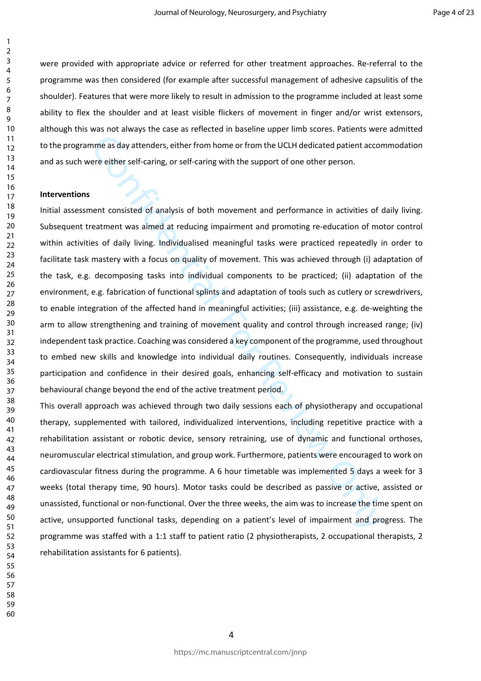were provided with appropriate advice or referred for other treatment approaches. Re-referral to the programme was then considered (for example after successful management of adhesive capsulitis of the shoulder). Features that were more likely to result in admission to the programme included at least some ability to flex the shoulder and at least visible flickers of movement in finger and/or wrist extensors, although this was not always the case as reflected in baseline upper limb scores. Patients were admitted to the programme as day attenders, either from home or from the UCLH dedicated patient accommodation and as such were either self-caring, or self-caring with the support of one other person.

#### **Interventions**

nme as day attenders, either from home or from the UCLH dedicated patient accorere either self-caring, or self-caring with the support of one other person.<br>
Nent consisted of analysis of both movement and performance in ac Initial assessment consisted of analysis of both movement and performance in activities of daily living. Subsequent treatment was aimed at reducing impairment and promoting re-education of motor control within activities of daily living. Individualised meaningful tasks were practiced repeatedly in order to facilitate task mastery with a focus on quality of movement. This was achieved through (i) adaptation of the task, e.g. decomposing tasks into individual components to be practiced; (ii) adaptation of the environment, e.g. fabrication of functional splints and adaptation of tools such as cutlery or screwdrivers, to enable integration of the affected hand in meaningful activities; (iii) assistance, e.g. de-weighting the arm to allow strengthening and training of movement quality and control through increased range; (iv) independent task practice. Coaching was considered a key component of the programme, used throughout to embed new skills and knowledge into individual daily routines. Consequently, individuals increase participation and confidence in their desired goals, enhancing self-efficacy and motivation to sustain behavioural change beyond the end of the active treatment period.

This overall approach was achieved through two daily sessions each of physiotherapy and occupational therapy, supplemented with tailored, individualized interventions, including repetitive practice with a rehabilitation assistant or robotic device, sensory retraining, use of dynamic and functional orthoses, neuromuscular electrical stimulation, and group work. Furthermore, patients were encouraged to work on cardiovascular fitness during the programme. A 6 hour timetable was implemented 5 days a week for 3 weeks (total therapy time, 90 hours). Motor tasks could be described as passive or active, assisted or unassisted, functional or non-functional. Over the three weeks, the aim was to increase the time spent on active, unsupported functional tasks, depending on a patient's level of impairment and progress. The programme was staffed with a 1:1 staff to patient ratio (2 physiotherapists, 2 occupational therapists, 2 rehabilitation assistants for 6 patients).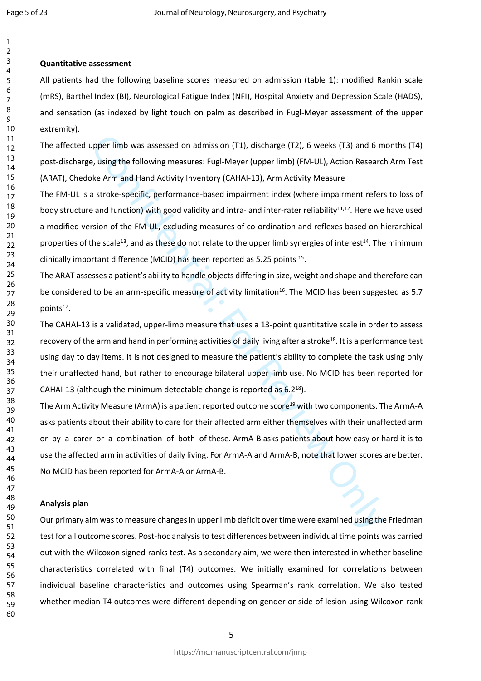#### **Quantitative assessment**

All patients had the following baseline scores measured on admission (table 1): modified Rankin scale (mRS), Barthel Index (BI), Neurological Fatigue Index (NFI), Hospital Anxiety and Depression Scale (HADS), and sensation (as indexed by light touch on palm as described in Fugl-Meyer assessment of the upper extremity).

The affected upper limb was assessed on admission (T1), discharge (T2), 6 weeks (T3) and 6 months (T4) post-discharge, using the following measures: Fugl-Meyer (upper limb) (FM-UL), Action Research Arm Test (ARAT), Chedoke Arm and Hand Activity Inventory (CAHAI-13), Arm Activity Measure

pper limb was assessed on admission (T1), discharge (T2), 6 weeks (T3) and 6 m, using the following measures: Fugl-Meyer (upper limb) (FM-UL), Action Researc<br>ke Arm and Hand Activity Inventory (CAHAI-13), Arm Activity Meas The FM-UL is a stroke-specific, performance-based impairment index (where impairment refers to loss of body structure and function) with good validity and intra- and inter-rater reliability<sup>11,12</sup>. Here we have used a modified version of the FM-UL, excluding measures of co-ordination and reflexes based on hierarchical properties of the scale<sup>13</sup>, and as these do not relate to the upper limb synergies of interest<sup>14</sup>. The minimum clinically important difference (MCID) has been reported as 5.25 points <sup>15</sup>.

The ARAT assesses a patient's ability to handle objects differing in size, weight and shape and therefore can be considered to be an arm-specific measure of activity limitation<sup>16</sup>. The MCID has been suggested as 5.7 points<sup>17</sup>.

The CAHAI-13 is a validated, upper-limb measure that uses a 13-point quantitative scale in order to assess recovery of the arm and hand in performing activities of daily living after a stroke<sup>18</sup>. It is a performance test using day to day items. It is not designed to measure the patient's ability to complete the task using only their unaffected hand, but rather to encourage bilateral upper limb use. No MCID has been reported for CAHAI-13 (although the minimum detectable change is reported as 6.2<sup>18</sup>).

The Arm Activity Measure (ArmA) is a patient reported outcome score<sup>19</sup> with two components. The ArmA-A asks patients about their ability to care for their affected arm either themselves with their unaffected arm or by a carer or a combination of both of these. ArmA-B asks patients about how easy or hard it is to use the affected arm in activities of daily living. For ArmA-A and ArmA-B, note that lower scores are better. No MCID has been reported for ArmA-A or ArmA-B.

#### **Analysis plan**

Our primary aim was to measure changes in upper limb deficit over time were examined using the Friedman test for all outcome scores. Post-hoc analysis to test differences between individual time points was carried out with the Wilcoxon signed-ranks test. As a secondary aim, we were then interested in whether baseline characteristics correlated with final (T4) outcomes. We initially examined for correlations between individual baseline characteristics and outcomes using Spearman's rank correlation. We also tested whether median T4 outcomes were different depending on gender or side of lesion using Wilcoxon rank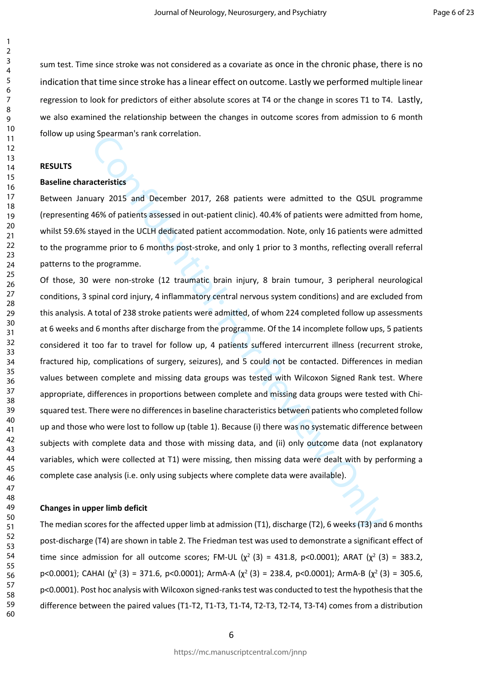sum test. Time since stroke was not considered as a covariate as once in the chronic phase, there is no indication that time since stroke has a linear effect on outcome. Lastly we performed multiple linear regression to look for predictors of either absolute scores at T4 or the change in scores T1 to T4. Lastly, we also examined the relationship between the changes in outcome scores from admission to 6 month follow up using Spearman's rank correlation.

#### **RESULTS**

#### **Baseline characteristics**

Between January 2015 and December 2017, 268 patients were admitted to the QSUL programme (representing 46% of patients assessed in out-patient clinic). 40.4% of patients were admitted from home, whilst 59.6% stayed in the UCLH dedicated patient accommodation. Note, only 16 patients were admitted to the programme prior to 6 months post-stroke, and only 1 prior to 3 months, reflecting overall referral patterns to the programme.

**acteristics**<br>**acteristics**<br>**acteristics**<br>**acteristics**<br>**acteristics**<br>**acteristics**<br>**acteristics**<br>**acteristics**<br>**acteristics**<br>**acteristics**<br>**acteristics**<br>**acteristics**<br>**acteristics**<br>**acteristics**<br>**acteristics**<br>**acteristics** Of those, 30 were non-stroke (12 traumatic brain injury, 8 brain tumour, 3 peripheral neurological conditions, 3 spinal cord injury, 4 inflammatory central nervous system conditions) and are excluded from this analysis. A total of 238 stroke patients were admitted, of whom 224 completed follow up assessments at 6 weeks and 6 months after discharge from the programme. Of the 14 incomplete follow ups, 5 patients considered it too far to travel for follow up, 4 patients suffered intercurrent illness (recurrent stroke, fractured hip, complications of surgery, seizures), and 5 could not be contacted. Differences in median values between complete and missing data groups was tested with Wilcoxon Signed Rank test. Where appropriate, differences in proportions between complete and missing data groups were tested with Chisquared test. There were no differences in baseline characteristics between patients who completed follow up and those who were lost to follow up (table 1). Because (i) there was no systematic difference between subjects with complete data and those with missing data, and (ii) only outcome data (not explanatory variables, which were collected at T1) were missing, then missing data were dealt with by performing a complete case analysis (i.e. only using subjects where complete data were available).

#### **Changes in upper limb deficit**

The median scores for the affected upper limb at admission (T1), discharge (T2), 6 weeks (T3) and 6 months post-discharge (T4) are shown in table 2. The Friedman test was used to demonstrate a significant effect of time since admission for all outcome scores; FM-UL ( $\chi^2$  (3) = 431.8, p<0.0001); ARAT ( $\chi^2$  (3) = 383.2, p<0.0001); CAHAI ( $\chi^2$  (3) = 371.6, p<0.0001); ArmA-A ( $\chi^2$  (3) = 238.4, p<0.0001); ArmA-B ( $\chi^2$  (3) = 305.6, p<0.0001). Post hoc analysis with Wilcoxon signed-ranks test was conducted to test the hypothesis that the difference between the paired values (T1-T2, T1-T3, T1-T4, T2-T3, T2-T4, T3-T4) comes from a distribution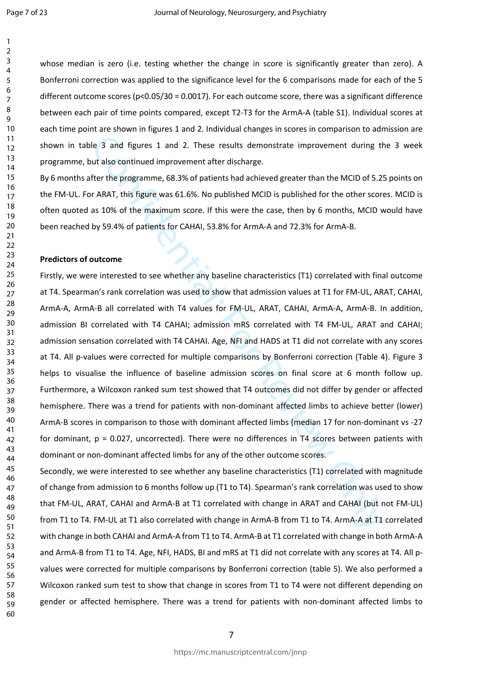whose median is zero (i.e. testing whether the change in score is significantly greater than zero). A Bonferroni correction was applied to the significance level for the 6 comparisons made for each of the 5 different outcome scores ( $p<0.05/30 = 0.0017$ ). For each outcome score, there was a significant difference between each pair of time points compared, except T2-T3 for the ArmA-A (table S1). Individual scores at each time point are shown in figures 1 and 2. Individual changes in scores in comparison to admission are shown in table 3 and figures 1 and 2. These results demonstrate improvement during the 3 week programme, but also continued improvement after discharge.

By 6 months after the programme, 68.3% of patients had achieved greater than the MCID of 5.25 points on the FM-UL. For ARAT, this figure was 61.6%. No published MCID is published for the other scores. MCID is often quoted as 10% of the maximum score. If this were the case, then by 6 months, MCID would have been reached by 59.4% of patients for CAHAI, 53.8% for ArmA-A and 72.3% for ArmA-B.

#### **Predictors of outcome**

Ie 3 and figures 1 and 2. These results demonstrate improvement during the 18 and figures 1 and 2. These results demonstrate improvement during that the MCID of 5.2:<br>
fer the programme, 68.3% of patients had achieved great Firstly, we were interested to see whether any baseline characteristics (T1) correlated with final outcome at T4. Spearman's rank correlation was used to show that admission values at T1 for FM-UL, ARAT, CAHAI, ArmA-A, ArmA-B all correlated with T4 values for FM-UL, ARAT, CAHAI, ArmA-A, ArmA-B. In addition, admission BI correlated with T4 CAHAI; admission mRS correlated with T4 FM-UL, ARAT and CAHAI; admission sensation correlated with T4 CAHAI. Age, NFI and HADS at T1 did not correlate with any scores at T4. All p-values were corrected for multiple comparisons by Bonferroni correction (Table 4). Figure 3 helps to visualise the influence of baseline admission scores on final score at 6 month follow up. Furthermore, a Wilcoxon ranked sum test showed that T4 outcomes did not differ by gender or affected hemisphere. There was a trend for patients with non-dominant affected limbs to achieve better (lower) ArmA-B scores in comparison to those with dominant affected limbs (median 17 for non-dominant vs -27 for dominant, p = 0.027, uncorrected). There were no differences in T4 scores between patients with dominant or non-dominant affected limbs for any of the other outcome scores.

Secondly, we were interested to see whether any baseline characteristics (T1) correlated with magnitude of change from admission to 6 months follow up (T1 to T4). Spearman's rank correlation was used to show that FM-UL, ARAT, CAHAI and ArmA-B at T1 correlated with change in ARAT and CAHAI (but not FM-UL) from T1 to T4. FM-UL at T1 also correlated with change in ArmA-B from T1 to T4. ArmA-A at T1 correlated with change in both CAHAI and ArmA-A from T1 to T4. ArmA-B at T1 correlated with change in both ArmA-A and ArmA-B from T1 to T4. Age, NFI, HADS, BI and mRS at T1 did not correlate with any scores at T4. All pvalues were corrected for multiple comparisons by Bonferroni correction (table 5). We also performed a Wilcoxon ranked sum test to show that change in scores from T1 to T4 were not different depending on gender or affected hemisphere. There was a trend for patients with non-dominant affected limbs to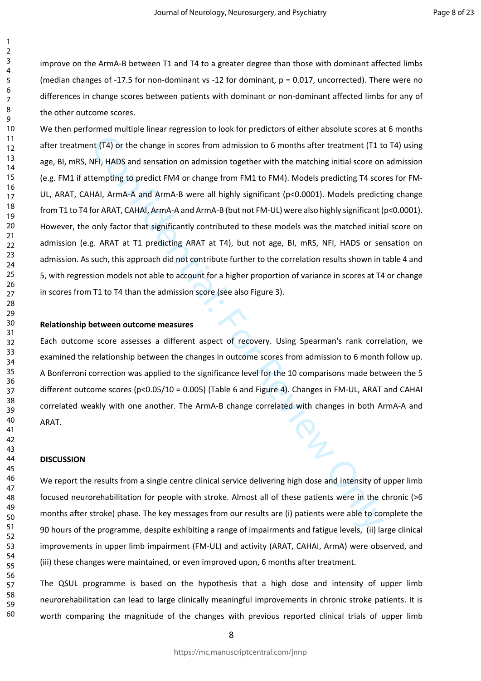improve on the ArmA-B between T1 and T4 to a greater degree than those with dominant affected limbs (median changes of -17.5 for non-dominant vs -12 for dominant,  $p = 0.017$ , uncorrected). There were no differences in change scores between patients with dominant or non-dominant affected limbs for any of the other outcome scores.

1. (T4) or the change in scores from admission to 6 months after treatment (T1 to<br>FI, HADS and sensation on admission together with the matching initial score on<br>tempting to predict FM4 or change from FM1 to FM4). Models p We then performed multiple linear regression to look for predictors of either absolute scores at 6 months after treatment (T4) or the change in scores from admission to 6 months after treatment (T1 to T4) using age, BI, mRS, NFI, HADS and sensation on admission together with the matching initial score on admission (e.g. FM1 if attempting to predict FM4 or change from FM1 to FM4). Models predicting T4 scores for FM-UL, ARAT, CAHAI, ArmA-A and ArmA-B were all highly significant (p<0.0001). Models predicting change from T1 to T4 for ARAT, CAHAI, ArmA-A and ArmA-B (but not FM-UL) were also highly significant (p<0.0001). However, the only factor that significantly contributed to these models was the matched initial score on admission (e.g. ARAT at T1 predicting ARAT at T4), but not age, BI, mRS, NFI, HADS or sensation on admission. As such, this approach did not contribute further to the correlation results shown in table 4 and 5, with regression models not able to account for a higher proportion of variance in scores at T4 or change in scores from T1 to T4 than the admission score (see also Figure 3).

#### **Relationship between outcome measures**

Each outcome score assesses a different aspect of recovery. Using Spearman's rank correlation, we examined the relationship between the changes in outcome scores from admission to 6 month follow up. A Bonferroni correction was applied to the significance level for the 10 comparisons made between the 5 different outcome scores (p<0.05/10 = 0.005) (Table 6 and Figure 4). Changes in FM-UL, ARAT and CAHAI correlated weakly with one another. The ArmA-B change correlated with changes in both ArmA-A and ARAT.

#### **DISCUSSION**

We report the results from a single centre clinical service delivering high dose and intensity of upper limb focused neurorehabilitation for people with stroke. Almost all of these patients were in the chronic (>6 months after stroke) phase. The key messages from our results are (i) patients were able to complete the 90 hours of the programme, despite exhibiting a range of impairments and fatigue levels, (ii) large clinical improvements in upper limb impairment (FM-UL) and activity (ARAT, CAHAI, ArmA) were observed, and (iii) these changes were maintained, or even improved upon, 6 months after treatment.

The QSUL programme is based on the hypothesis that a high dose and intensity of upper limb neurorehabilitation can lead to large clinically meaningful improvements in chronic stroke patients. It is worth comparing the magnitude of the changes with previous reported clinical trials of upper limb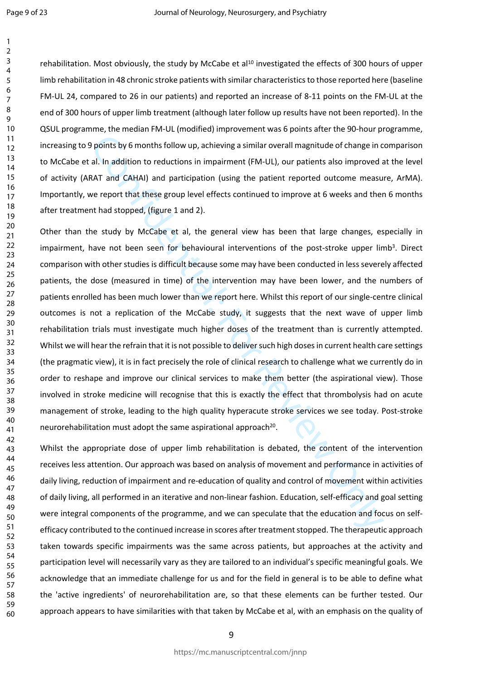rehabilitation. Most obviously, the study by McCabe et al<sup>10</sup> investigated the effects of 300 hours of upper limb rehabilitation in 48 chronic stroke patients with similar characteristics to those reported here (baseline FM-UL 24, compared to 26 in our patients) and reported an increase of 8-11 points on the FM-UL at the end of 300 hours of upper limb treatment (although later follow up results have not been reported). In the QSUL programme, the median FM-UL (modified) improvement was 6 points after the 90-hour programme, increasing to 9 points by 6 months follow up, achieving a similar overall magnitude of change in comparison to McCabe et al. In addition to reductions in impairment (FM-UL), our patients also improved at the level of activity (ARAT and CAHAI) and participation (using the patient reported outcome measure, ArMA). Importantly, we report that these group level effects continued to improve at 6 weeks and then 6 months after treatment had stopped, (figure 1 and 2).

points by 6 months follow up, achieving a similar overall magnitude of change in cal. In addition to reductions in impairment (FM-UL), our patients also improved cAT and CAHAI) and participation (using the patient reported Other than the study by McCabe et al, the general view has been that large changes, especially in impairment, have not been seen for behavioural interventions of the post-stroke upper limb<sup>3</sup>. Direct comparison with other studies is difficult because some may have been conducted in less severely affected patients, the dose (measured in time) of the intervention may have been lower, and the numbers of patients enrolled has been much lower than we report here. Whilst this report of our single-centre clinical outcomes is not a replication of the McCabe study, it suggests that the next wave of upper limb rehabilitation trials must investigate much higher doses of the treatment than is currently attempted. Whilst we will hear the refrain that it is not possible to deliver such high doses in current health care settings (the pragmatic view), it is in fact precisely the role of clinical research to challenge what we currently do in order to reshape and improve our clinical services to make them better (the aspirational view). Those involved in stroke medicine will recognise that this is exactly the effect that thrombolysis had on acute management of stroke, leading to the high quality hyperacute stroke services we see today. Post-stroke neurorehabilitation must adopt the same aspirational approach<sup>20</sup>.

Whilst the appropriate dose of upper limb rehabilitation is debated, the content of the intervention receives less attention. Our approach was based on analysis of movement and performance in activities of daily living, reduction of impairment and re-education of quality and control of movement within activities of daily living, all performed in an iterative and non-linear fashion. Education, self-efficacy and goal setting were integral components of the programme, and we can speculate that the education and focus on selfefficacy contributed to the continued increase in scores after treatment stopped. The therapeutic approach taken towards specific impairments was the same across patients, but approaches at the activity and participation level will necessarily vary as they are tailored to an individual's specific meaningful goals. We acknowledge that an immediate challenge for us and for the field in general is to be able to define what the 'active ingredients' of neurorehabilitation are, so that these elements can be further tested. Our approach appears to have similarities with that taken by McCabe et al, with an emphasis on the quality of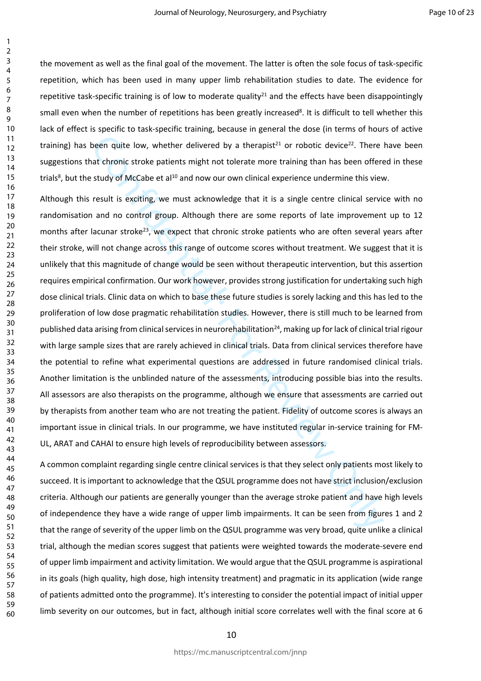the movement as well as the final goal of the movement. The latter is often the sole focus of task-specific repetition, which has been used in many upper limb rehabilitation studies to date. The evidence for repetitive task-specific training is of low to moderate quality<sup>21</sup> and the effects have been disappointingly small even when the number of repetitions has been greatly increased<sup>8</sup>. It is difficult to tell whether this lack of effect is specific to task-specific training, because in general the dose (in terms of hours of active training) has been quite low, whether delivered by a therapist<sup>21</sup> or robotic device<sup>22</sup>. There have been suggestions that chronic stroke patients might not tolerate more training than has been offered in these trials<sup>8</sup>, but the study of McCabe et al<sup>10</sup> and now our own clinical experience undermine this view.

been quite low, whether delivered by a therapist<sup>31</sup> or robotic device<sup>22</sup>. There<br>at chronic stroke patients might not tolerate more training than has been offer<br>study of McCabe et al<sup>10</sup> and now our own clinical experienc Although this result is exciting, we must acknowledge that it is a single centre clinical service with no randomisation and no control group. Although there are some reports of late improvement up to 12 months after lacunar stroke<sup>23</sup>, we expect that chronic stroke patients who are often several years after their stroke, will not change across this range of outcome scores without treatment. We suggest that it is unlikely that this magnitude of change would be seen without therapeutic intervention, but this assertion requires empirical confirmation. Our work however, provides strong justification for undertaking such high dose clinical trials. Clinic data on which to base these future studies is sorely lacking and this has led to the proliferation of low dose pragmatic rehabilitation studies. However, there is still much to be learned from published data arising from clinical services in neurorehabilitation<sup>24</sup>, making up for lack of clinical trial rigour with large sample sizes that are rarely achieved in clinical trials. Data from clinical services therefore have the potential to refine what experimental questions are addressed in future randomised clinical trials. Another limitation is the unblinded nature of the assessments, introducing possible bias into the results. All assessors are also therapists on the programme, although we ensure that assessments are carried out by therapists from another team who are not treating the patient. Fidelity of outcome scores is always an important issue in clinical trials. In our programme, we have instituted regular in-service training for FM-UL, ARAT and CAHAI to ensure high levels of reproducibility between assessors.

A common complaint regarding single centre clinical services is that they select only patients most likely to succeed. It is important to acknowledge that the QSUL programme does not have strict inclusion/exclusion criteria. Although our patients are generally younger than the average stroke patient and have high levels of independence they have a wide range of upper limb impairments. It can be seen from figures 1 and 2 that the range of severity of the upper limb on the QSUL programme was very broad, quite unlike a clinical trial, although the median scores suggest that patients were weighted towards the moderate-severe end of upper limb impairment and activity limitation. We would argue that the QSUL programme is aspirational in its goals (high quality, high dose, high intensity treatment) and pragmatic in its application (wide range of patients admitted onto the programme). It's interesting to consider the potential impact of initial upper limb severity on our outcomes, but in fact, although initial score correlates well with the final score at 6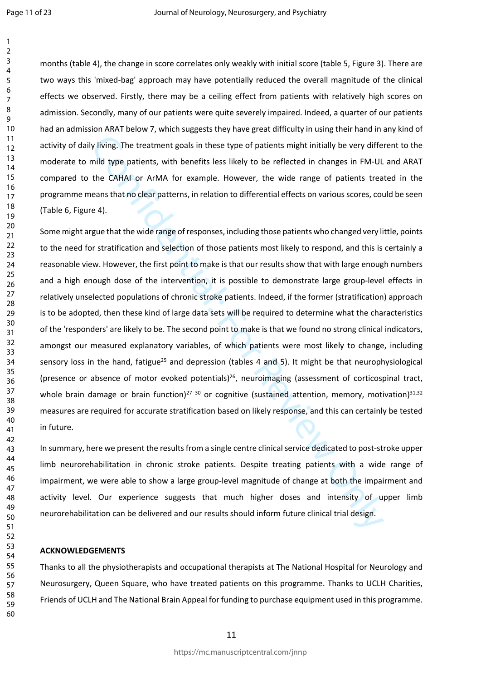months (table 4), the change in score correlates only weakly with initial score (table 5, Figure 3). There are two ways this 'mixed-bag' approach may have potentially reduced the overall magnitude of the clinical effects we observed. Firstly, there may be a ceiling effect from patients with relatively high scores on admission. Secondly, many of our patients were quite severely impaired. Indeed, a quarter of our patients had an admission ARAT below 7, which suggests they have great difficulty in using their hand in any kind of activity of daily living. The treatment goals in these type of patients might initially be very different to the moderate to mild type patients, with benefits less likely to be reflected in changes in FM-UL and ARAT compared to the CAHAI or ArMA for example. However, the wide range of patients treated in the programme means that no clear patterns, in relation to differential effects on various scores, could be seen (Table 6, Figure 4).

y living. The treatment goals in these type of patients might initially be very differ<br>information the patients, with benefits less likely to be reflected in changes in FM-UL<br>the CAHAI or ArMA for example. However, the wid Some might argue that the wide range of responses, including those patients who changed very little, points to the need for stratification and selection of those patients most likely to respond, and this is certainly a reasonable view. However, the first point to make is that our results show that with large enough numbers and a high enough dose of the intervention, it is possible to demonstrate large group-level effects in relatively unselected populations of chronic stroke patients. Indeed, if the former (stratification) approach is to be adopted, then these kind of large data sets will be required to determine what the characteristics of the 'responders' are likely to be. The second point to make is that we found no strong clinical indicators, amongst our measured explanatory variables, of which patients were most likely to change, including sensory loss in the hand, fatigue<sup>25</sup> and depression (tables 4 and 5). It might be that neurophysiological (presence or absence of motor evoked potentials)<sup>26</sup>, neuroimaging (assessment of corticospinal tract, whole brain damage or brain function)<sup>27–30</sup> or cognitive (sustained attention, memory, motivation)<sup>31,32</sup> measures are required for accurate stratification based on likely response, and this can certainly be tested in future.

In summary, here we present the results from a single centre clinical service dedicated to post-stroke upper limb neurorehabilitation in chronic stroke patients. Despite treating patients with a wide range of impairment, we were able to show a large group-level magnitude of change at both the impairment and activity level. Our experience suggests that much higher doses and intensity of upper limb neurorehabilitation can be delivered and our results should inform future clinical trial design.

#### **ACKNOWLEDGEMENTS**

Thanks to all the physiotherapists and occupational therapists at The National Hospital for Neurology and Neurosurgery, Queen Square, who have treated patients on this programme. Thanks to UCLH Charities, Friends of UCLH and The National Brain Appeal for funding to purchase equipment used in this programme.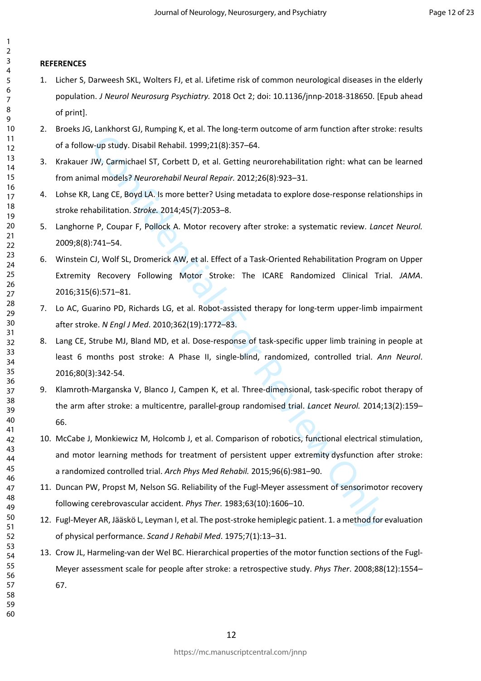#### **REFERENCES**

- 1. Licher S, Darweesh SKL, Wolters FJ, et al. Lifetime risk of common neurological diseases in the elderly population. *J Neurol Neurosurg Psychiatry.* 2018 Oct 2; doi: 10.1136/jnnp-2018-318650. [Epub ahead of print].
- 2. Broeks JG, Lankhorst GJ, Rumping K, et al. The long-term outcome of arm function after stroke: results of a follow-up study. Disabil Rehabil. 1999;21(8):357–64.
- 3. Krakauer JW, Carmichael ST, Corbett D, et al. Getting neurorehabilitation right: what can be learned from animal models? *Neurorehabil Neural Repair.* 2012;26(8):923–31.
- 4. Lohse KR, Lang CE, Boyd LA. Is more better? Using metadata to explore dose-response relationships in stroke rehabilitation. *Stroke.* 2014;45(7):2053–8.
- 5. Langhorne P, Coupar F, Pollock A. Motor recovery after stroke: a systematic review. *Lancet Neurol.* 2009;8(8):741–54.
- 6. Winstein CJ, Wolf SL, Dromerick AW, et al. Effect of a Task-Oriented Rehabilitation Program on Upper Extremity Recovery Following Motor Stroke: The ICARE Randomized Clinical Trial. *JAMA*. 2016;315(6):571–81.
- 7. Lo AC, Guarino PD, Richards LG, et al. Robot-assisted therapy for long-term upper-limb impairment after stroke. *N Engl J Med*. 2010;362(19):1772–83.
- 8. Lang CE, Strube MJ, Bland MD, et al. Dose-response of task-specific upper limb training in people at least 6 months post stroke: A Phase II, single-blind, randomized, controlled trial. *Ann Neurol*. 2016;80(3):342-54.
- v-up study. Disabil Rehabil. 1999;21(8):357–64.<br>W, Carmichael ST, Corbett D, et al. Getting neurorchabilitation right: what can<br>almodels? Neurorchabil Neurol Repoir. 2012;26(8):923–31.<br>Lang CE, Boyd LA. Is more better? Usi 9. Klamroth-Marganska V, Blanco J, Campen K, et al. Three-dimensional, task-specific robot therapy of the arm after stroke: a multicentre, parallel-group randomised trial. *Lancet Neurol.* 2014;13(2):159– 66.
- 10. McCabe J, Monkiewicz M, Holcomb J, et al. Comparison of robotics, functional electrical stimulation, and motor learning methods for treatment of persistent upper extremity dysfunction after stroke: a randomized controlled trial. *Arch Phys Med Rehabil.* 2015;96(6):981–90.
- 11. Duncan PW, Propst M, Nelson SG. Reliability of the Fugl-Meyer assessment of sensorimotor recovery following cerebrovascular accident. *Phys Ther.* 1983;63(10):1606–10.
- 12. Fugl-Meyer AR, Jääskö L, Leyman I, et al. The post-stroke hemiplegic patient. 1. a method for evaluation of physical performance. *Scand J Rehabil Med*. 1975;7(1):13–31.
- 13. Crow JL, Harmeling-van der Wel BC. Hierarchical properties of the motor function sections of the Fugl-Meyer assessment scale for people after stroke: a retrospective study. *Phys Ther*. 2008;88(12):1554– 67.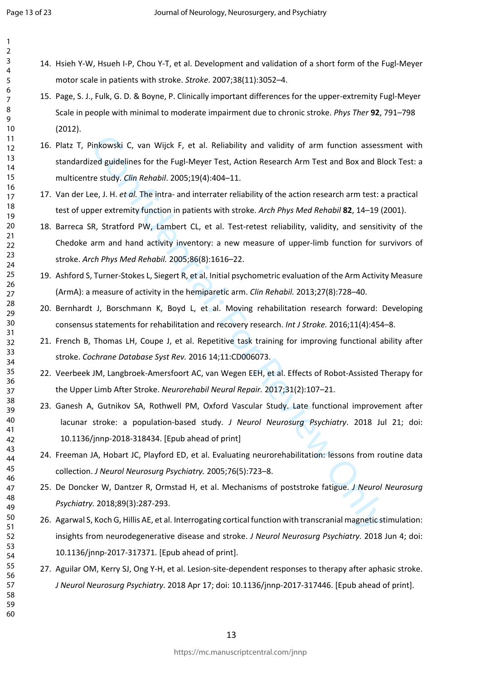- 14. Hsieh Y-W, Hsueh I-P, Chou Y-T, et al. Development and validation of a short form of the Fugl-Meyer motor scale in patients with stroke. *Stroke*. 2007;38(11):3052–4.
- 15. Page, S. J., Fulk, G. D. & Boyne, P. Clinically important differences for the upper-extremity Fugl-Meyer Scale in people with minimal to moderate impairment due to chronic stroke. *Phys Ther* **92**, 791–798 (2012).
- 16. Platz T, Pinkowski C, van Wijck F, et al. Reliability and validity of arm function assessment with standardized guidelines for the Fugl-Meyer Test, Action Research Arm Test and Box and Block Test: a multicentre study. *Clin Rehabil*. 2005;19(4):404–11.
- 17. Van der Lee, J. H. *et al.* The intra- and interrater reliability of the action research arm test: a practical test of upper extremity function in patients with stroke. *Arch Phys Med Rehabil* **82**, 14–19 (2001).
- tinkowski C, van Wijck F, et al. Reliability and validity of arm function assessed guidelines for the Fugl-Meyer Test, Action Research Arm Test and Box and BI<br>et study. Clin Rehabil. 2005;19(4):404-11.<br>e.e., J. H. et of. T 18. Barreca SR, Stratford PW, Lambert CL, et al. Test-retest reliability, validity, and sensitivity of the Chedoke arm and hand activity inventory: a new measure of upper-limb function for survivors of stroke. *Arch Phys Med Rehabil.* 2005;86(8):1616–22.
	- 19. Ashford S, Turner-Stokes L, Siegert R, et al. Initial psychometric evaluation of the Arm Activity Measure (ArmA): a measure of activity in the hemiparetic arm. *Clin Rehabil.* 2013;27(8):728–40.
- 20. Bernhardt J, Borschmann K, Boyd L, et al. Moving rehabilitation research forward: Developing consensus statements for rehabilitation and recovery research. *Int J Stroke.* 2016;11(4):454–8.
- 21. French B, Thomas LH, Coupe J, et al. Repetitive task training for improving functional ability after stroke. *Cochrane Database Syst Rev.* 2016 14;11:CD006073.
- 22. Veerbeek JM, Langbroek-Amersfoort AC, van Wegen EEH, et al. Effects of Robot-Assisted Therapy for the Upper Limb After Stroke. *Neurorehabil Neural Repair.* 2017;31(2):107–21.
- 23. Ganesh A, Gutnikov SA, Rothwell PM, Oxford Vascular Study. Late functional improvement after lacunar stroke: a population-based study. *J Neurol Neurosurg Psychiatry*. 2018 Jul 21; doi: 10.1136/jnnp-2018-318434. [Epub ahead of print]
- 24. Freeman JA, Hobart JC, Playford ED, et al. Evaluating neurorehabilitation: lessons from routine data collection. *J Neurol Neurosurg Psychiatry.* 2005;76(5):723–8.
- 25. De Doncker W, Dantzer R, Ormstad H, et al. Mechanisms of poststroke fatigue. *J Neurol Neurosurg Psychiatry.* 2018;89(3):287-293.
- 26. Agarwal S, Koch G, Hillis AE, et al. Interrogating cortical function with transcranial magnetic stimulation: insights from neurodegenerative disease and stroke. *J Neurol Neurosurg Psychiatry.* 2018 Jun 4; doi: 10.1136/jnnp-2017-317371. [Epub ahead of print].
- 27. Aguilar OM, Kerry SJ, Ong Y-H, et al. Lesion-site-dependent responses to therapy after aphasic stroke. *J Neurol Neurosurg Psychiatry.* 2018 Apr 17; doi: 10.1136/jnnp-2017-317446. [Epub ahead of print].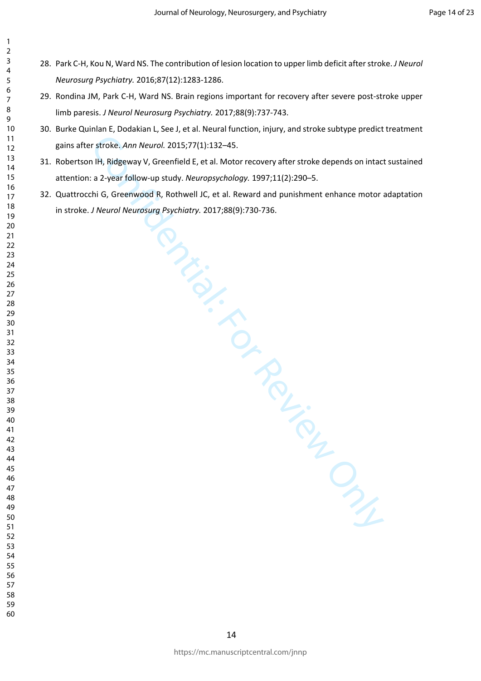- 28. Park C-H, Kou N, Ward NS. The contribution of lesion location to upper limb deficit after stroke. *J Neurol Neurosurg Psychiatry.* 2016;87(12):1283-1286.
- 29. Rondina JM, Park C-H, Ward NS. Brain regions important for recovery after severe post-stroke upper limb paresis. *J Neurol Neurosurg Psychiatry.* 2017;88(9):737-743.
- 30. Burke Quinlan E, Dodakian L, See J, et al. Neural function, injury, and stroke subtype predict treatment gains after stroke. *Ann Neurol.* 2015;77(1):132–45.
- $\frac{1}{122-4}$ <br>  $\frac{1}{16}$  et al. Moto.<br>  $\frac{1}{16}$ , Meuropsychology.<br>
acthwell J.C., et al. Rewar.<br>
gPsychiatry. 2017:88(9):730-7.<br>
Channel Confidential:<br>
Channel Confidential: 31. Robertson IH, Ridgeway V, Greenfield E, et al. Motor recovery after stroke depends on intact sustained attention: a 2-year follow-up study. *Neuropsychology.* 1997;11(2):290–5.
- 32. Quattrocchi G, Greenwood R, Rothwell JC, et al. Reward and punishment enhance motor adaptation in stroke. *J Neurol Neurosurg Psychiatry.* 2017;88(9):730-736.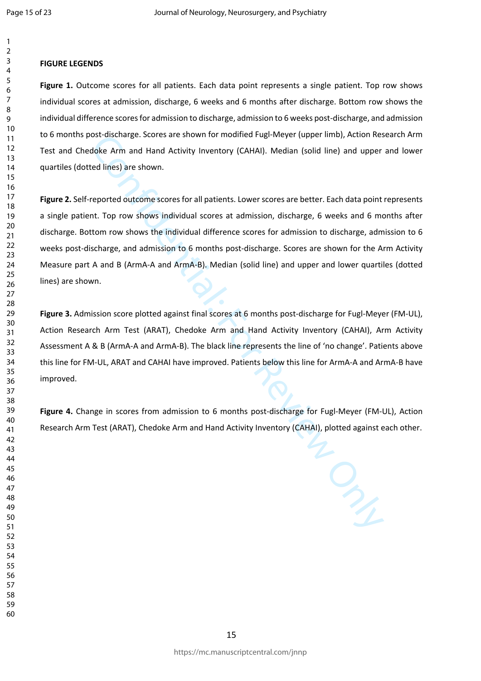#### **FIGURE LEGENDS**

**Figure 1.** Outcome scores for all patients. Each data point represents a single patient. Top row shows individual scores at admission, discharge, 6 weeks and 6 months after discharge. Bottom row shows the individual difference scores for admission to discharge, admission to 6 weeks post-discharge, and admission to 6 months post-discharge. Scores are shown for modified Fugl-Meyer (upper limb), Action Research Arm Test and Chedoke Arm and Hand Activity Inventory (CAHAI). Median (solid line) and upper and lower quartiles (dotted lines) are shown.

ost-discharge. Scores are shown for modified Fugi-Meyer (upper limp), Action kest<br>obte Arm and Hand Activity Inventory (CAHAI). Median (solid line) and upper<br>edlines) are shown.<br>reported outcome scores for all patients. Lo **Figure 2.** Self-reported outcome scores for all patients. Lower scores are better. Each data point represents a single patient. Top row shows individual scores at admission, discharge, 6 weeks and 6 months after discharge. Bottom row shows the individual difference scores for admission to discharge, admission to 6 weeks post-discharge, and admission to 6 months post-discharge. Scores are shown for the Arm Activity Measure part A and B (ArmA-A and ArmA-B). Median (solid line) and upper and lower quartiles (dotted lines) are shown.

**Figure 3.** Admission score plotted against final scores at 6 months post-discharge for Fugl-Meyer (FM-UL), Action Research Arm Test (ARAT), Chedoke Arm and Hand Activity Inventory (CAHAI), Arm Activity Assessment A & B (ArmA-A and ArmA-B). The black line represents the line of 'no change'. Patients above this line for FM-UL, ARAT and CAHAI have improved. Patients below this line for ArmA-A and ArmA-B have improved.

**Figure 4.** Change in scores from admission to 6 months post-discharge for Fugl-Meyer (FM-UL), Action Research Arm Test (ARAT), Chedoke Arm and Hand Activity Inventory (CAHAI), plotted against each other.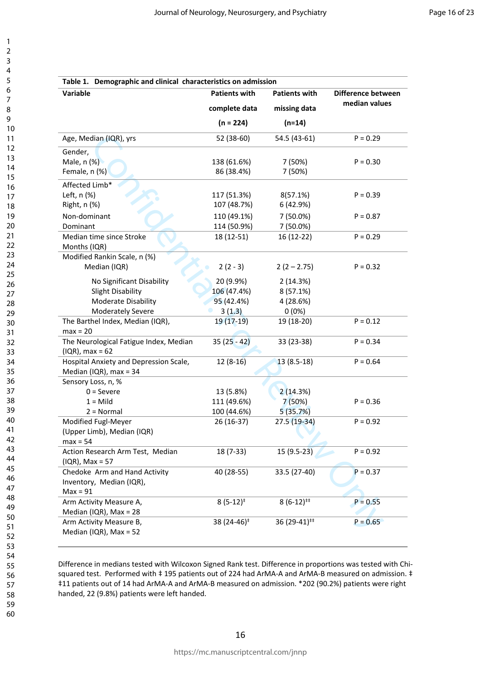| Variable                                                                | <b>Patients with</b>    | <b>Patients with</b>     | Difference between |
|-------------------------------------------------------------------------|-------------------------|--------------------------|--------------------|
|                                                                         | complete data           | missing data             | median values      |
|                                                                         | $(n = 224)$             | $(n=14)$                 |                    |
| Age, Median (IQR), yrs                                                  | 52 (38-60)              | 54.5 (43-61)             | $P = 0.29$         |
| Gender,                                                                 |                         |                          |                    |
| Male, n (%)                                                             | 138 (61.6%)             | 7 (50%)                  | $P = 0.30$         |
| Female, n (%)                                                           | 86 (38.4%)              | 7 (50%)                  |                    |
| Affected Limb*                                                          |                         |                          |                    |
| Left, n (%)                                                             | 117 (51.3%)             | 8(57.1%)                 | $P = 0.39$         |
| Right, n (%)                                                            | 107 (48.7%)             | 6 (42.9%)                |                    |
| Non-dominant                                                            | 110 (49.1%)             | 7 (50.0%)                | $P = 0.87$         |
| Dominant                                                                | 114 (50.9%)             | 7 (50.0%)                |                    |
| Median time since Stroke<br>Months (IQR)                                | 18 (12-51)              | 16 (12-22)               | $P = 0.29$         |
| Modified Rankin Scale, n (%)                                            |                         |                          |                    |
| Median (IQR)                                                            | $2(2-3)$                | $2(2 - 2.75)$            | $P = 0.32$         |
| No Significant Disability                                               | 20 (9.9%)               | 2(14.3%)                 |                    |
| <b>Slight Disability</b>                                                | 106 (47.4%)             | 8(57.1%)                 |                    |
| Moderate Disability                                                     | 95 (42.4%)              | 4 (28.6%)                |                    |
| <b>Moderately Severe</b>                                                | 3(1.3)                  | 0(0%)                    |                    |
| The Barthel Index, Median (IQR),<br>$max = 20$                          | 19 (17-19)              | 19 (18-20)               | $P = 0.12$         |
| The Neurological Fatigue Index, Median<br>$(IQR)$ , max = 62            | $35(25 - 42)$           | 33 (23-38)               | $P = 0.34$         |
| Hospital Anxiety and Depression Scale,<br>Median (IQR), $max = 34$      | $12(8-16)$              | $13(8.5-18)$             | $P = 0.64$         |
| Sensory Loss, n, %                                                      |                         |                          |                    |
| $0 =$ Severe                                                            | 13 (5.8%)               | 2(14.3%)                 |                    |
| $1 =$ Mild                                                              | 111 (49.6%)             | 7 (50%)                  | $P = 0.36$         |
| $2 = Normal$                                                            | 100 (44.6%)             | 5(35.7%)                 |                    |
| Modified Fugl-Meyer                                                     | 26 (16-37)              | 27.5 (19-34)             | $P = 0.92$         |
| (Upper Limb), Median (IQR)                                              |                         |                          |                    |
| $max = 54$                                                              |                         |                          |                    |
| Action Research Arm Test, Median<br>$( IQR), Max = 57$                  | 18 (7-33)               | 15 (9.5-23)              | $P = 0.92$         |
| Chedoke Arm and Hand Activity<br>Inventory, Median (IQR),<br>$Max = 91$ | 40 (28-55)              | 33.5 (27-40)             | $P = 0.37$         |
| Arm Activity Measure A,<br>Median (IQR), Max = $28$                     | $8(5-12)^*$             | $8(6-12)^{**}$           | $P = 0.55$         |
| Arm Activity Measure B,<br>Median (IQR), Max = $52$                     | 38 (24-46) <sup>#</sup> | 36 (29-41) <sup>##</sup> | $P = 0.65$         |

Difference in medians tested with Wilcoxon Signed Rank test. Difference in proportions was tested with Chisquared test. Performed with  $\ddagger$  195 patients out of 224 had ArMA-A and ArMA-B measured on admission.  $\ddagger$ ‡11 patients out of 14 had ArMA-A and ArMA-B measured on admission. \*202 (90.2%) patients were right handed, 22 (9.8%) patients were left handed.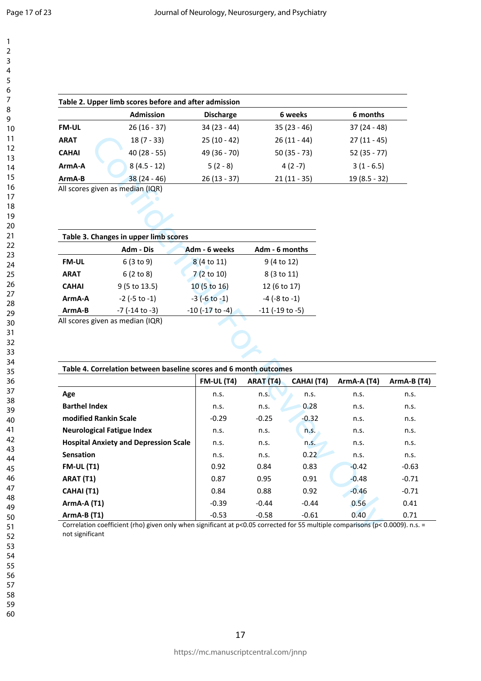|              | Table 2. Upper limb scores before and after admission |                  |               |                |
|--------------|-------------------------------------------------------|------------------|---------------|----------------|
|              | <b>Admission</b>                                      | <b>Discharge</b> | 6 weeks       | 6 months       |
| <b>FM-UL</b> | $26(16-37)$                                           | $34(23 - 44)$    | $35(23 - 46)$ | $37(24-48)$    |
| <b>ARAT</b>  | $18(7 - 33)$                                          | $25(10-42)$      | $26(11 - 44)$ | $27(11 - 45)$  |
| <b>CAHAI</b> | $40(28 - 55)$                                         | 49 (36 - 70)     | $50(35 - 73)$ | $52(35 - 77)$  |
| ArmA-A       | $8(4.5 - 12)$                                         | $5(2-8)$         | $4(2-7)$      | $3(1 - 6.5)$   |
| ArmA-B       | $38(24 - 46)$                                         | $26(13 - 37)$    | $21(11 - 35)$ | $19(8.5 - 32)$ |
|              | All conce given as modian (IOD)                       |                  |               |                |

|              | Table 3. Changes in upper limb scores |                         |                         |
|--------------|---------------------------------------|-------------------------|-------------------------|
|              | Adm - Dis                             | Adm - 6 weeks           | Adm - 6 months          |
| <b>FM-UL</b> | 6(3 to 9)                             | 8 (4 to 11)             | 9(4 to 12)              |
| <b>ARAT</b>  | 6(2 to 8)                             | 7(2 to 10)              | 8 (3 to 11)             |
| <b>CAHAI</b> | 9 (5 to 13.5)                         | 10 (5 to 16)            | 12 (6 to 17)            |
| ArmA-A       | $-2$ ( $-5$ to $-1$ )                 | $-3$ ( $-6$ to $-1$ )   | $-4$ ( $-8$ to $-1$ )   |
| ArmA-B       | $-7$ ( $-14$ to $-3$ )                | $-10$ ( $-17$ to $-4$ ) | $-11$ ( $-19$ to $-5$ ) |
|              | All scores given as median (IQR)      |                         |                         |

| <b>ARAT</b>           | $18(7 - 33)$                                                                                                                  | $25(10-42)$           |                         | $26(11 - 44)$ | $27(11 - 45)$ |             |
|-----------------------|-------------------------------------------------------------------------------------------------------------------------------|-----------------------|-------------------------|---------------|---------------|-------------|
| <b>CAHAI</b>          | $40(28 - 55)$                                                                                                                 | 49 (36 - 70)          |                         | $50(35 - 73)$ | $52(35 - 77)$ |             |
| ArmA-A                | $8(4.5 - 12)$                                                                                                                 | $5(2-8)$              |                         | $4(2-7)$      | $3(1 - 6.5)$  |             |
| ArmA-B                | $38(24-46)$                                                                                                                   | $26(13 - 37)$         |                         | $21(11 - 35)$ | 19 (8.5 - 32) |             |
|                       | All scores given as median (IQR)                                                                                              |                       |                         |               |               |             |
|                       |                                                                                                                               |                       |                         |               |               |             |
|                       |                                                                                                                               |                       |                         |               |               |             |
|                       |                                                                                                                               |                       |                         |               |               |             |
|                       | Table 3. Changes in upper limb scores                                                                                         |                       |                         |               |               |             |
|                       | Adm - Dis                                                                                                                     | Adm - 6 weeks         | Adm - 6 months          |               |               |             |
| <b>FM-UL</b>          | 6(3 to 9)                                                                                                                     | 8 (4 to 11)           | 9 (4 to 12)             |               |               |             |
| <b>ARAT</b>           | 6(2 to 8)                                                                                                                     | 7(2 to 10)            | 8 (3 to 11)             |               |               |             |
| <b>CAHAI</b>          | 9 (5 to 13.5)                                                                                                                 | 10 (5 to 16)          | 12 (6 to 17)            |               |               |             |
| ArmA-A                | $-2$ ( $-5$ to $-1$ )                                                                                                         | $-3$ ( $-6$ to $-1$ ) | $-4$ ( $-8$ to $-1$ )   |               |               |             |
| ArmA-B                | $-7$ ( $-14$ to $-3$ )                                                                                                        | -10 (-17 to -4)       | $-11$ ( $-19$ to $-5$ ) |               |               |             |
|                       | All scores given as median (IQR)                                                                                              |                       |                         |               |               |             |
|                       | Table 4. Correlation between baseline scores and 6 month outcomes                                                             |                       |                         |               |               |             |
|                       |                                                                                                                               | <b>FM-UL (T4)</b>     | ARAT (T4)               | CAHAI (T4)    | ArmA-A (T4)   | ArmA-B (T4) |
| Age                   |                                                                                                                               | n.s.                  | n.S.                    | n.s.          | n.s.          | n.s.        |
| <b>Barthel Index</b>  |                                                                                                                               | n.s.                  | n.s.                    | 0.28          | n.s.          | n.s.        |
| modified Rankin Scale |                                                                                                                               | $-0.29$               | $-0.25$                 | $-0.32$       | n.s.          | n.s.        |
|                       | <b>Neurological Fatigue Index</b>                                                                                             | n.s.                  | n.s.                    | n.s.          | n.s.          | n.s.        |
|                       | <b>Hospital Anxiety and Depression Scale</b>                                                                                  | n.s.                  | n.s.                    | n.S.          | n.s.          | n.s.        |
| <b>Sensation</b>      |                                                                                                                               | n.s.                  | n.s.                    | 0.22          | n.s.          | n.s.        |
| <b>FM-UL (T1)</b>     |                                                                                                                               | 0.92                  | 0.84                    | 0.83          | $-0.42$       | $-0.63$     |
| ARAT (T1)             |                                                                                                                               | 0.87                  | 0.95                    | 0.91          | $-0.48$       | $-0.71$     |
| CAHAI (T1)            |                                                                                                                               | 0.84                  | 0.88                    | 0.92          | $-0.46$       | $-0.71$     |
| <b>ArmA-A (T1)</b>    |                                                                                                                               | $-0.39$               | $-0.44$                 | $-0.44$       | 0.56          | 0.41        |
| ArmA-B (T1)           |                                                                                                                               | $-0.53$               | $-0.58$                 | $-0.61$       | 0.40          | 0.71        |
| not significant       | Correlation coefficient (rho) given only when significant at p<0.05 corrected for 55 multiple comparisons (p< 0.0009). n.s. = |                       |                         |               |               |             |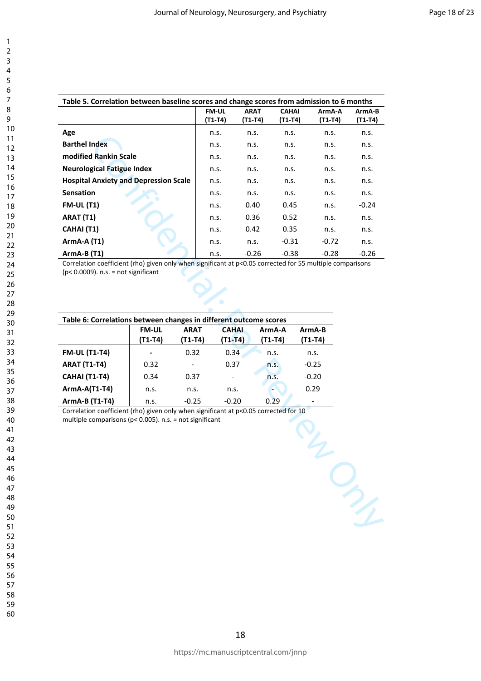| Table 5. Correlation between baseline scores and change scores from admission to 6 months |              |             |              |         |         |
|-------------------------------------------------------------------------------------------|--------------|-------------|--------------|---------|---------|
|                                                                                           | <b>FM-UL</b> | <b>ARAT</b> | <b>CAHAI</b> | ArmA-A  | ArmA-B  |
|                                                                                           | (T1-T4)      | (T1-T4)     | (T1-T4)      | (T1-T4) | (T1-T4) |
| Age                                                                                       | n.s.         | n.s.        | n.s.         | n.s.    | n.s.    |
| <b>Barthel Index</b>                                                                      | n.s.         | n.s.        | n.s.         | n.s.    | n.s.    |
| modified Rankin Scale                                                                     | n.s.         | n.s.        | n.s.         | n.s.    | n.s.    |
| <b>Neurological Fatigue Index</b>                                                         | n.s.         | n.s.        | n.s.         | n.s.    | n.s.    |
| <b>Hospital Anxiety and Depression Scale</b>                                              | n.s.         | n.s.        | n.s.         | n.s.    | n.s.    |
| <b>Sensation</b>                                                                          | n.s.         | n.s.        | n.s.         | n.s.    | n.s.    |
| <b>FM-UL (T1)</b>                                                                         | n.s.         | 0.40        | 0.45         | n.s.    | $-0.24$ |
| ARAT (T1)                                                                                 | n.s.         | 0.36        | 0.52         | n.s.    | n.s.    |
| CAHAI (T1)                                                                                | n.s.         | 0.42        | 0.35         | n.s.    | n.s.    |
| $ArmA-A (T1)$                                                                             | n.s.         | n.s.        | $-0.31$      | $-0.72$ | n.s.    |
| $ArmA-B(T1)$                                                                              | n.s.         | $-0.26$     | $-0.38$      | $-0.28$ | $-0.26$ |

Correlation coefficient (rho) given only when significant at p<0.05 corrected for 55 multiple comparisons (p< 0.0009). n.s. = not significant

| Table 6: Correlations between changes in different outcome scores | <b>FM-UL</b><br>(T1-T4) | <b>ARAT</b><br>(T1-T4) | <b>CAHAI</b><br>(T1-T4) | ArmA-A<br>(T1-T4) | ArmA-B<br>(T1-T4) |
|-------------------------------------------------------------------|-------------------------|------------------------|-------------------------|-------------------|-------------------|
| <b>FM-UL (T1-T4)</b>                                              |                         | 0.32                   | 0.34                    | n.s.              | n.s.              |
| <b>ARAT (T1-T4)</b>                                               | 0.32                    |                        | 0.37                    | n.s.              | $-0.25$           |
| CAHAI (T1-T4)                                                     | 0.34                    | 0.37                   |                         | n.s.              | $-0.20$           |
| <b>ArmA-A(T1-T4)</b>                                              | n.s.                    | n.s.                   | n.s.                    |                   | 0.29              |
| ArmA-B (T1-T4)                                                    | n.s.                    | $-0.25$                | $-0.20$                 | 0.29              |                   |
| multiple comparisons ( $p$ < 0.005). n.s. = not significant       |                         |                        |                         |                   |                   |
|                                                                   |                         |                        |                         |                   |                   |

60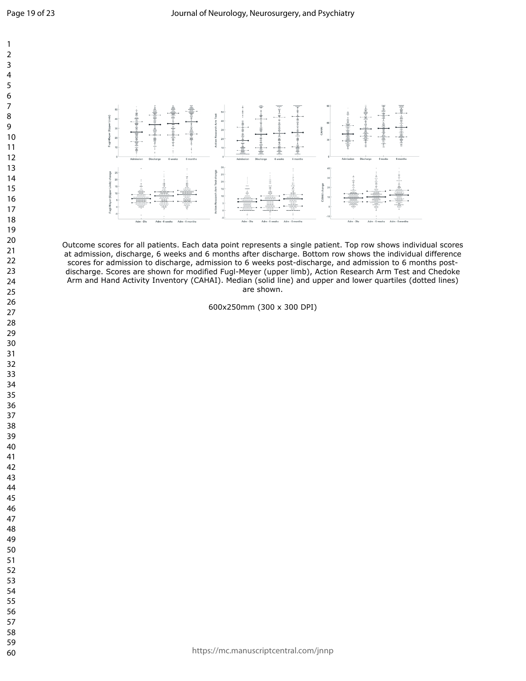

Outcome scores for all patients. Each data point represents a single patient. Top row shows individual scores at admission, discharge, 6 weeks and 6 months after discharge. Bottom row shows the individual difference scores for admission to discharge, admission to 6 weeks post-discharge, and admission to 6 months postdischarge. Scores are shown for modified Fugl-Meyer (upper limb), Action Research Arm Test and Chedoke Arm and Hand Activity Inventory (CAHAI). Median (solid line) and upper and lower quartiles (dotted lines) are shown.

600x250mm (300 x 300 DPI)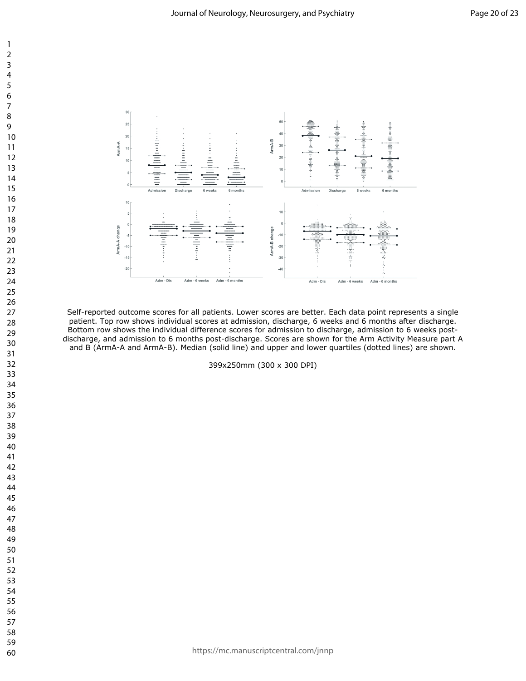

Self-reported outcome scores for all patients. Lower scores are better. Each data point represents a single patient. Top row shows individual scores at admission, discharge, 6 weeks and 6 months after discharge. Bottom row shows the individual difference scores for admission to discharge, admission to 6 weeks postdischarge, and admission to 6 months post-discharge. Scores are shown for the Arm Activity Measure part A and B (ArmA-A and ArmA-B). Median (solid line) and upper and lower quartiles (dotted lines) are shown.

399x250mm (300 x 300 DPI)

https://mc.manuscriptcentral.com/jnnp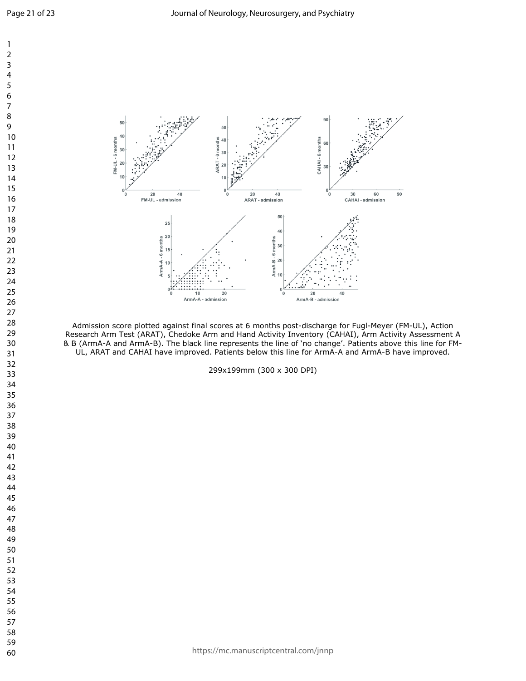

Admission score plotted against final scores at 6 months post-discharge for Fugl-Meyer (FM-UL), Action Research Arm Test (ARAT), Chedoke Arm and Hand Activity Inventory (CAHAI), Arm Activity Assessment A & B (ArmA-A and ArmA-B). The black line represents the line of 'no change'. Patients above this line for FM-UL, ARAT and CAHAI have improved. Patients below this line for ArmA-A and ArmA-B have improved.

299x199mm (300 x 300 DPI)

https://mc.manuscriptcentral.com/jnnp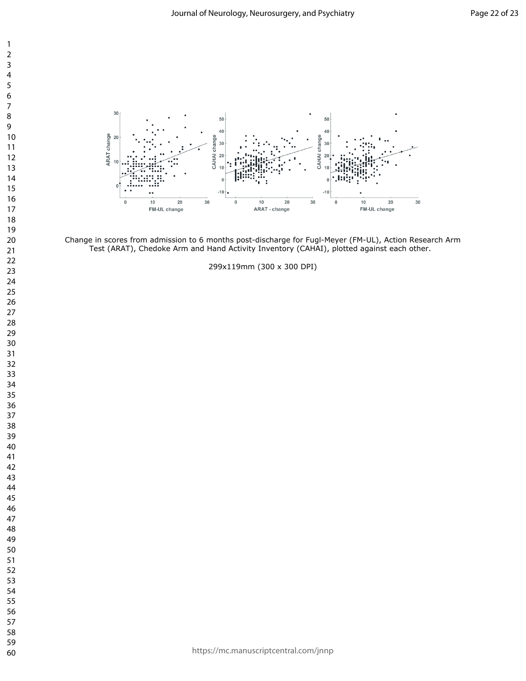